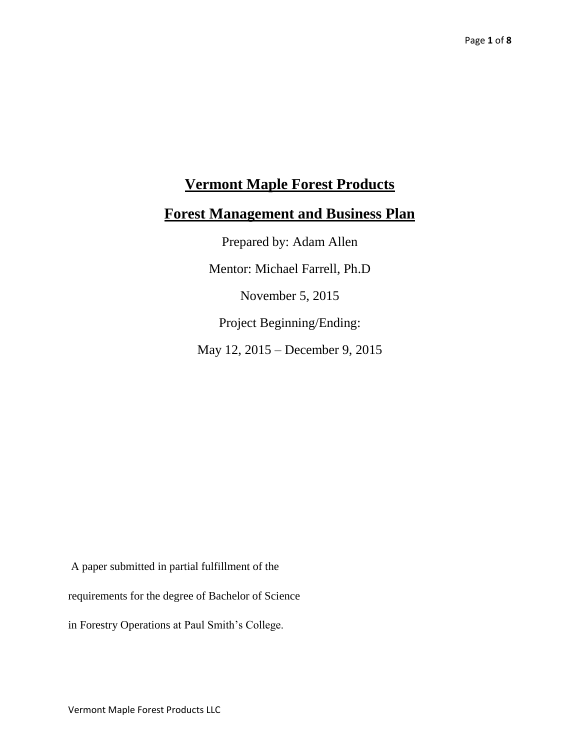# **Vermont Maple Forest Products**

### **Forest Management and Business Plan**

Prepared by: Adam Allen Mentor: Michael Farrell, Ph.D November 5, 2015 Project Beginning/Ending: May 12, 2015 – December 9, 2015

A paper submitted in partial fulfillment of the

requirements for the degree of Bachelor of Science

in Forestry Operations at Paul Smith's College.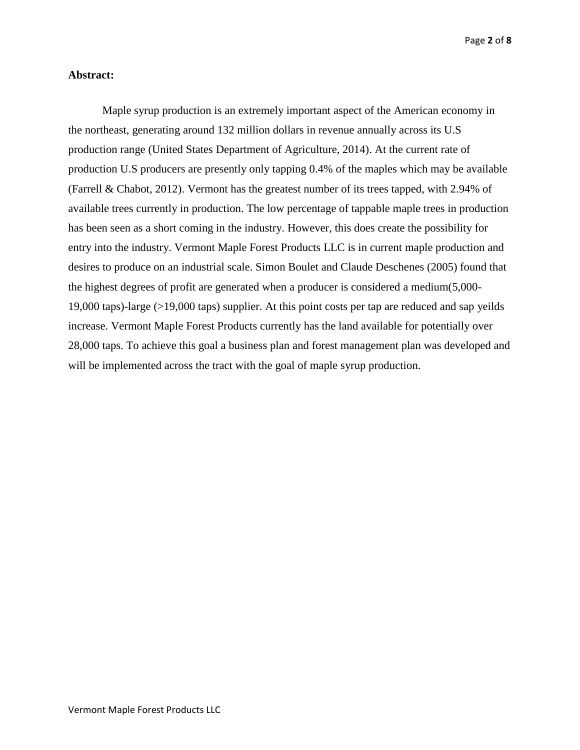#### **Abstract:**

Maple syrup production is an extremely important aspect of the American economy in the northeast, generating around 132 million dollars in revenue annually across its U.S production range (United States Department of Agriculture, 2014). At the current rate of production U.S producers are presently only tapping 0.4% of the maples which may be available (Farrell & Chabot, 2012). Vermont has the greatest number of its trees tapped, with 2.94% of available trees currently in production. The low percentage of tappable maple trees in production has been seen as a short coming in the industry. However, this does create the possibility for entry into the industry. Vermont Maple Forest Products LLC is in current maple production and desires to produce on an industrial scale. Simon Boulet and Claude Deschenes (2005) found that the highest degrees of profit are generated when a producer is considered a medium(5,000- 19,000 taps)-large (>19,000 taps) supplier. At this point costs per tap are reduced and sap yeilds increase. Vermont Maple Forest Products currently has the land available for potentially over 28,000 taps. To achieve this goal a business plan and forest management plan was developed and will be implemented across the tract with the goal of maple syrup production.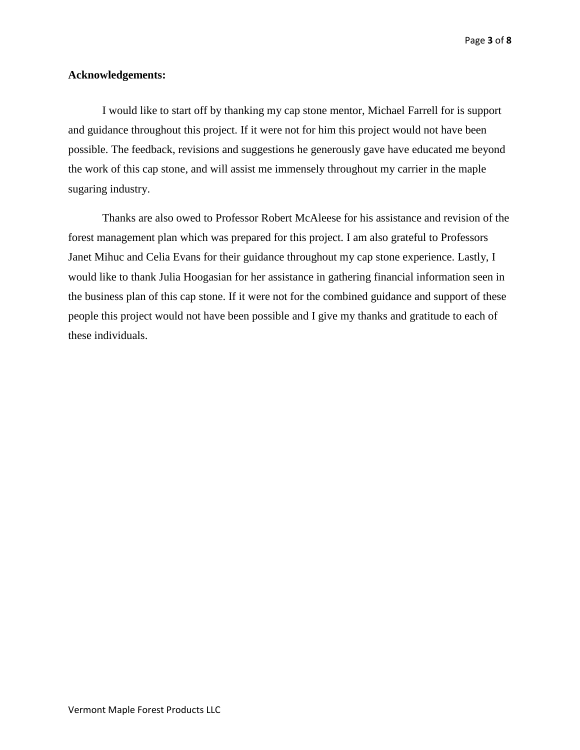Page **3** of **8**

#### **Acknowledgements:**

I would like to start off by thanking my cap stone mentor, Michael Farrell for is support and guidance throughout this project. If it were not for him this project would not have been possible. The feedback, revisions and suggestions he generously gave have educated me beyond the work of this cap stone, and will assist me immensely throughout my carrier in the maple sugaring industry.

Thanks are also owed to Professor Robert McAleese for his assistance and revision of the forest management plan which was prepared for this project. I am also grateful to Professors Janet Mihuc and Celia Evans for their guidance throughout my cap stone experience. Lastly, I would like to thank Julia Hoogasian for her assistance in gathering financial information seen in the business plan of this cap stone. If it were not for the combined guidance and support of these people this project would not have been possible and I give my thanks and gratitude to each of these individuals.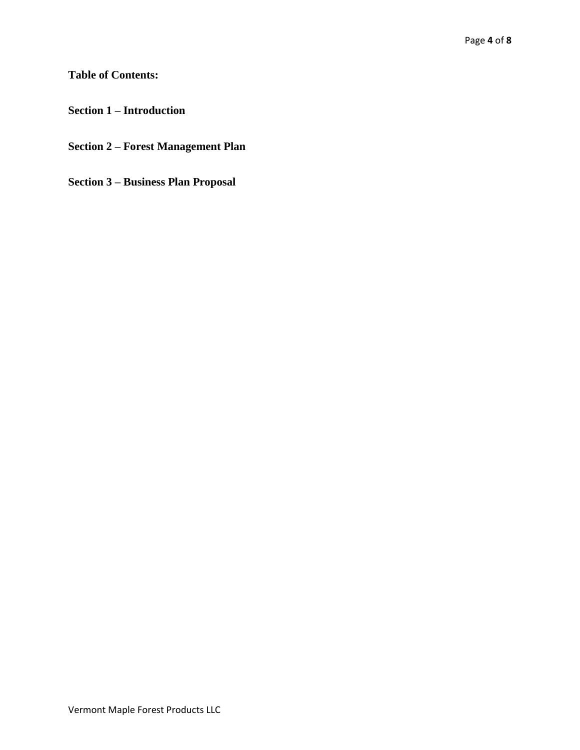## **Table of Contents:**

**Section 1 – Introduction** 

**Section 2 – Forest Management Plan** 

**Section 3 – Business Plan Proposal**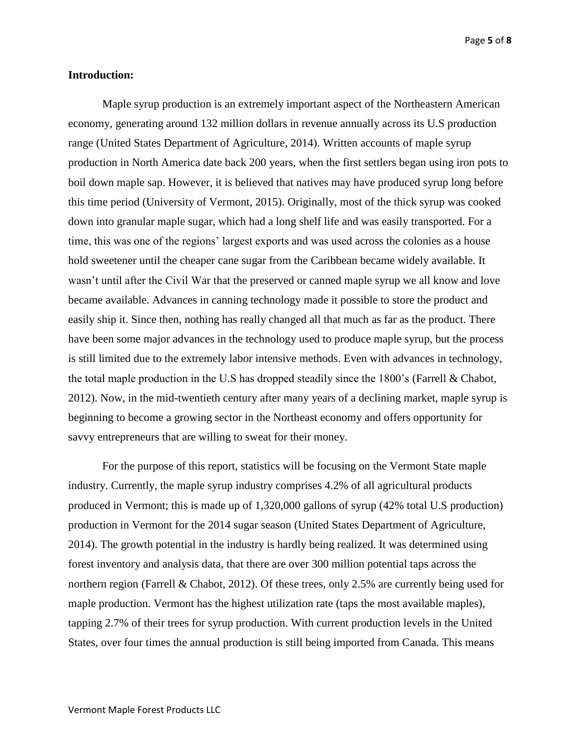Page **5** of **8**

#### **Introduction:**

Maple syrup production is an extremely important aspect of the Northeastern American economy, generating around 132 million dollars in revenue annually across its U.S production range (United States Department of Agriculture, 2014). Written accounts of maple syrup production in North America date back 200 years, when the first settlers began using iron pots to boil down maple sap. However, it is believed that natives may have produced syrup long before this time period (University of Vermont, 2015). Originally, most of the thick syrup was cooked down into granular maple sugar, which had a long shelf life and was easily transported. For a time, this was one of the regions' largest exports and was used across the colonies as a house hold sweetener until the cheaper cane sugar from the Caribbean became widely available. It wasn't until after the Civil War that the preserved or canned maple syrup we all know and love became available. Advances in canning technology made it possible to store the product and easily ship it. Since then, nothing has really changed all that much as far as the product. There have been some major advances in the technology used to produce maple syrup, but the process is still limited due to the extremely labor intensive methods. Even with advances in technology, the total maple production in the U.S has dropped steadily since the 1800's (Farrell & Chabot, 2012). Now, in the mid-twentieth century after many years of a declining market, maple syrup is beginning to become a growing sector in the Northeast economy and offers opportunity for savvy entrepreneurs that are willing to sweat for their money.

For the purpose of this report, statistics will be focusing on the Vermont State maple industry. Currently, the maple syrup industry comprises 4.2% of all agricultural products produced in Vermont; this is made up of 1,320,000 gallons of syrup (42% total U.S production) production in Vermont for the 2014 sugar season (United States Department of Agriculture, 2014). The growth potential in the industry is hardly being realized. It was determined using forest inventory and analysis data, that there are over 300 million potential taps across the northern region (Farrell & Chabot, 2012). Of these trees, only 2.5% are currently being used for maple production. Vermont has the highest utilization rate (taps the most available maples), tapping 2.7% of their trees for syrup production. With current production levels in the United States, over four times the annual production is still being imported from Canada. This means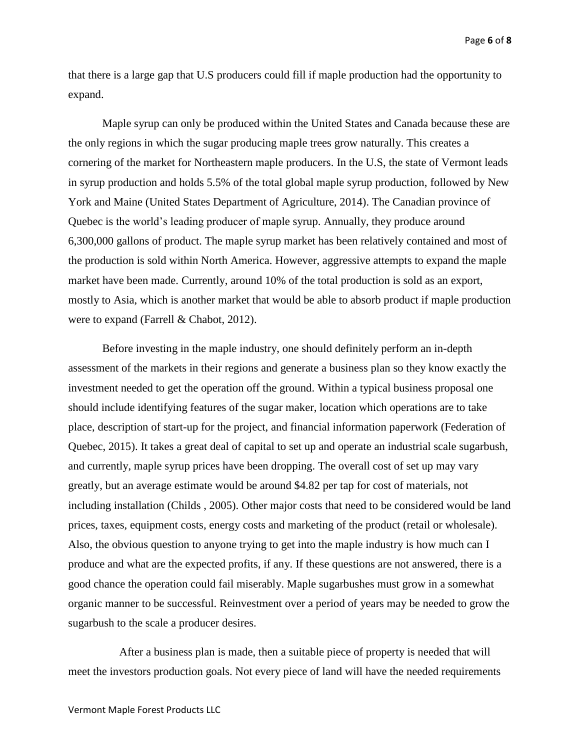Page **6** of **8**

that there is a large gap that U.S producers could fill if maple production had the opportunity to expand.

Maple syrup can only be produced within the United States and Canada because these are the only regions in which the sugar producing maple trees grow naturally. This creates a cornering of the market for Northeastern maple producers. In the U.S, the state of Vermont leads in syrup production and holds 5.5% of the total global maple syrup production, followed by New York and Maine (United States Department of Agriculture, 2014). The Canadian province of Quebec is the world's leading producer of maple syrup. Annually, they produce around 6,300,000 gallons of product. The maple syrup market has been relatively contained and most of the production is sold within North America. However, aggressive attempts to expand the maple market have been made. Currently, around 10% of the total production is sold as an export, mostly to Asia, which is another market that would be able to absorb product if maple production were to expand (Farrell & Chabot, 2012).

Before investing in the maple industry, one should definitely perform an in-depth assessment of the markets in their regions and generate a business plan so they know exactly the investment needed to get the operation off the ground. Within a typical business proposal one should include identifying features of the sugar maker, location which operations are to take place, description of start-up for the project, and financial information paperwork (Federation of Quebec, 2015). It takes a great deal of capital to set up and operate an industrial scale sugarbush, and currently, maple syrup prices have been dropping. The overall cost of set up may vary greatly, but an average estimate would be around \$4.82 per tap for cost of materials, not including installation (Childs , 2005). Other major costs that need to be considered would be land prices, taxes, equipment costs, energy costs and marketing of the product (retail or wholesale). Also, the obvious question to anyone trying to get into the maple industry is how much can I produce and what are the expected profits, if any. If these questions are not answered, there is a good chance the operation could fail miserably. Maple sugarbushes must grow in a somewhat organic manner to be successful. Reinvestment over a period of years may be needed to grow the sugarbush to the scale a producer desires.

 After a business plan is made, then a suitable piece of property is needed that will meet the investors production goals. Not every piece of land will have the needed requirements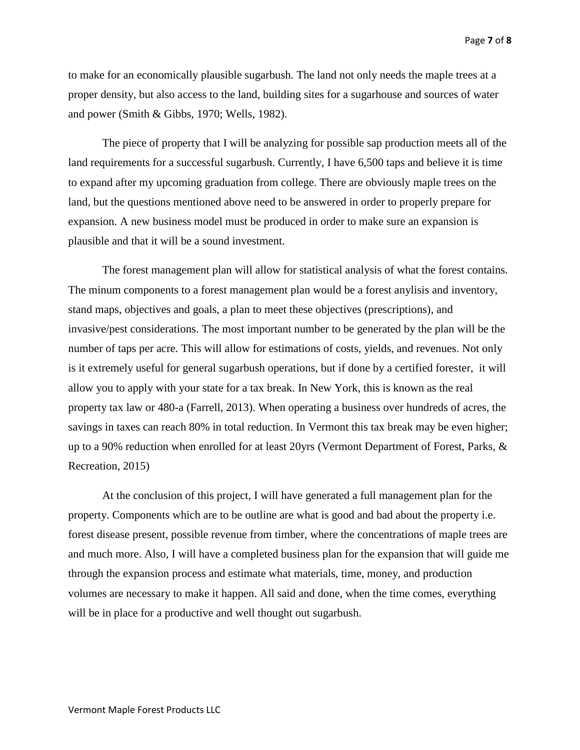to make for an economically plausible sugarbush. The land not only needs the maple trees at a proper density, but also access to the land, building sites for a sugarhouse and sources of water and power (Smith & Gibbs, 1970; Wells, 1982).

The piece of property that I will be analyzing for possible sap production meets all of the land requirements for a successful sugarbush. Currently, I have 6,500 taps and believe it is time to expand after my upcoming graduation from college. There are obviously maple trees on the land, but the questions mentioned above need to be answered in order to properly prepare for expansion. A new business model must be produced in order to make sure an expansion is plausible and that it will be a sound investment.

The forest management plan will allow for statistical analysis of what the forest contains. The minum components to a forest management plan would be a forest anylisis and inventory, stand maps, objectives and goals, a plan to meet these objectives (prescriptions), and invasive/pest considerations. The most important number to be generated by the plan will be the number of taps per acre. This will allow for estimations of costs, yields, and revenues. Not only is it extremely useful for general sugarbush operations, but if done by a certified forester, it will allow you to apply with your state for a tax break. In New York, this is known as the real property tax law or 480-a (Farrell, 2013). When operating a business over hundreds of acres, the savings in taxes can reach 80% in total reduction. In Vermont this tax break may be even higher; up to a 90% reduction when enrolled for at least 20yrs (Vermont Department of Forest, Parks, & Recreation, 2015)

At the conclusion of this project, I will have generated a full management plan for the property. Components which are to be outline are what is good and bad about the property i.e. forest disease present, possible revenue from timber, where the concentrations of maple trees are and much more. Also, I will have a completed business plan for the expansion that will guide me through the expansion process and estimate what materials, time, money, and production volumes are necessary to make it happen. All said and done, when the time comes, everything will be in place for a productive and well thought out sugarbush.